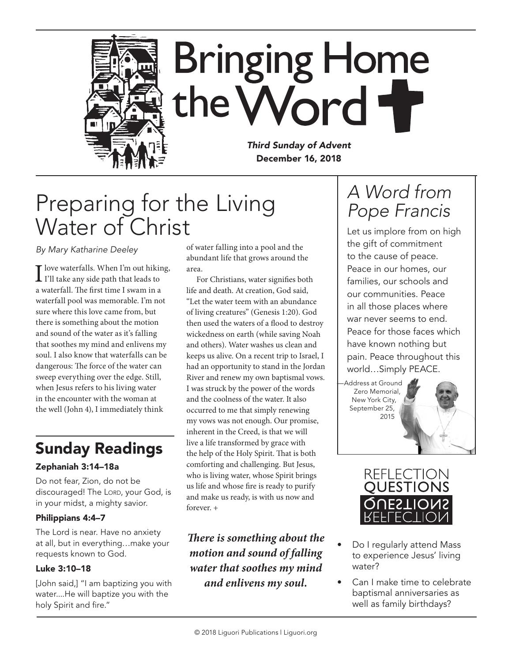

# Preparing for the Living Water of Christ

*By Mary Katharine Deeley*

I love waterfalls. When I'm out hiking,<br>I'll take any side path that leads to a waterfall. The first time I swam in a waterfall pool was memorable. I'm not sure where this love came from, but there is something about the motion and sound of the water as it's falling that soothes my mind and enlivens my soul. I also know that waterfalls can be dangerous: The force of the water can sweep everything over the edge. Still, when Jesus refers to his living water in the encounter with the woman at the well (John 4), I immediately think

## Sunday Readings

### Zephaniah 3:14–18a

Do not fear, Zion, do not be discouraged! The LORD, your God, is in your midst, a mighty savior.

#### Philippians 4:4–7

The Lord is near. Have no anxiety at all, but in everything…make your requests known to God.

### Luke 3:10–18

[John said,] "I am baptizing you with water....He will baptize you with the holy Spirit and fire."

of water falling into a pool and the abundant life that grows around the area.

For Christians, water signifies both life and death. At creation, God said, "Let the water teem with an abundance of living creatures" (Genesis 1:20). God then used the waters of a flood to destroy wickedness on earth (while saving Noah and others). Water washes us clean and keeps us alive. On a recent trip to Israel, I had an opportunity to stand in the Jordan River and renew my own baptismal vows. I was struck by the power of the words and the coolness of the water. It also occurred to me that simply renewing my vows was not enough. Our promise, inherent in the Creed, is that we will live a life transformed by grace with the help of the Holy Spirit. That is both comforting and challenging. But Jesus, who is living water, whose Spirit brings us life and whose fire is ready to purify and make us ready, is with us now and forever. +

### *There is something about the motion and sound of falling water that soothes my mind and enlivens my soul.*

## *A Word from Pope Francis*

Let us implore from on high the gift of commitment to the cause of peace. Peace in our homes, our families, our schools and our communities. Peace in all those places where war never seems to end. Peace for those faces which have known nothing but pain. Peace throughout this world…Simply PEACE.

—Address at Ground Zero Memorial, New York City, September 25, 2015



- Do I regularly attend Mass to experience Jesus' living water?
- Can I make time to celebrate baptismal anniversaries as well as family birthdays?